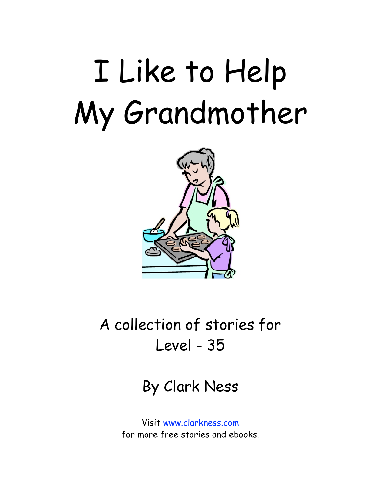## I Like to Help My Grandmother



A collection of stories for Level - 35

By Clark Ness

Visit [www.clarkness.com](http://www.clarkness.com) for more free stories and ebooks.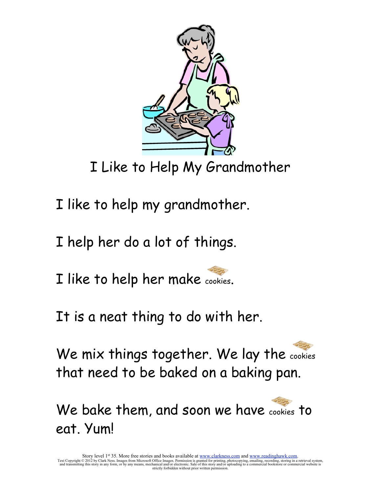

I Like to Help My Grandmother

I like to help my grandmother.

I help her do a lot of things.

I like to help her make cookies.

It is a neat thing to do with her.

We mix things together. We lay the cookies that need to be baked on a baking pan.

We bake them, and soon we have cookies to eat. Yum!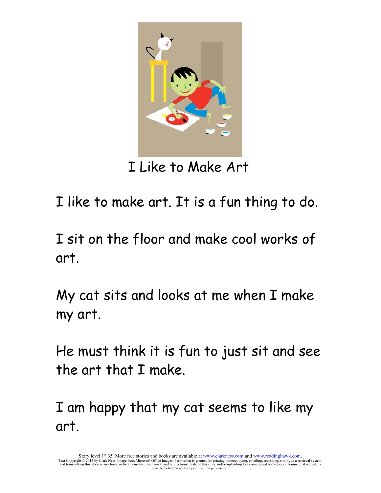

I Like to Make Art

I like to make art. It is a fun thing to do.

I sit on the floor and make cool works of art.

My cat sits and looks at me when I make my art.

He must think it is fun to just sit and see the art that I make.

I am happy that my cat seems to like my art.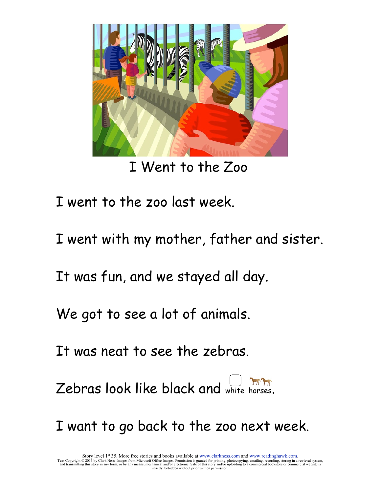

I Went to the Zoo

I went to the zoo last week.

I went with my mother, father and sister.

It was fun, and we stayed all day.

We got to see a lot of animals.

It was neat to see the zebras.

Zebras look like black and white horses.

I want to go back to the zoo next week.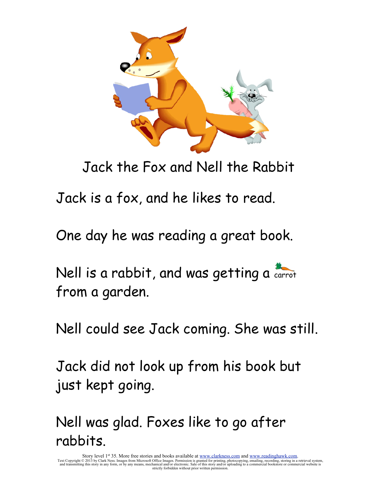

Jack the Fox and Nell the Rabbit

Jack is a fox, and he likes to read.

One day he was reading a great book.

Nell is a rabbit, and was getting a carrot from a garden.

Nell could see Jack coming. She was still.

Jack did not look up from his book but just kept going.

Nell was glad. Foxes like to go after rabbits.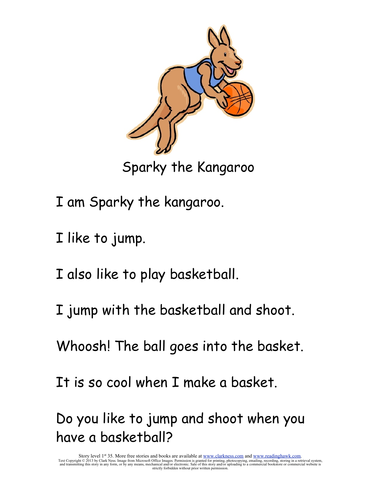

Sparky the Kangaroo

- I am Sparky the kangaroo.
- I like to jump.
- I also like to play basketball.
- I jump with the basketball and shoot.
- Whoosh! The ball goes into the basket.
- It is so cool when I make a basket.

Do you like to jump and shoot when you have a basketball?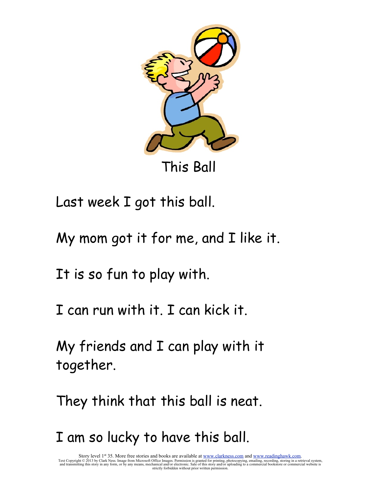

This Ball

Last week I got this ball.

My mom got it for me, and I like it.

It is so fun to play with.

I can run with it. I can kick it.

My friends and I can play with it together.

They think that this ball is neat.

I am so lucky to have this ball.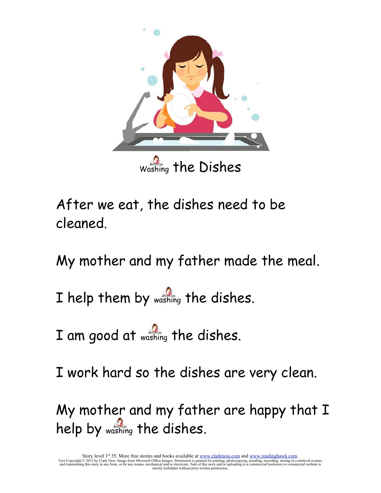

After we eat, the dishes need to be cleaned.

My mother and my father made the meal.

I help them by washing the dishes.

I am good at washing the dishes.

I work hard so the dishes are very clean.

My mother and my father are happy that I help by washing the dishes.